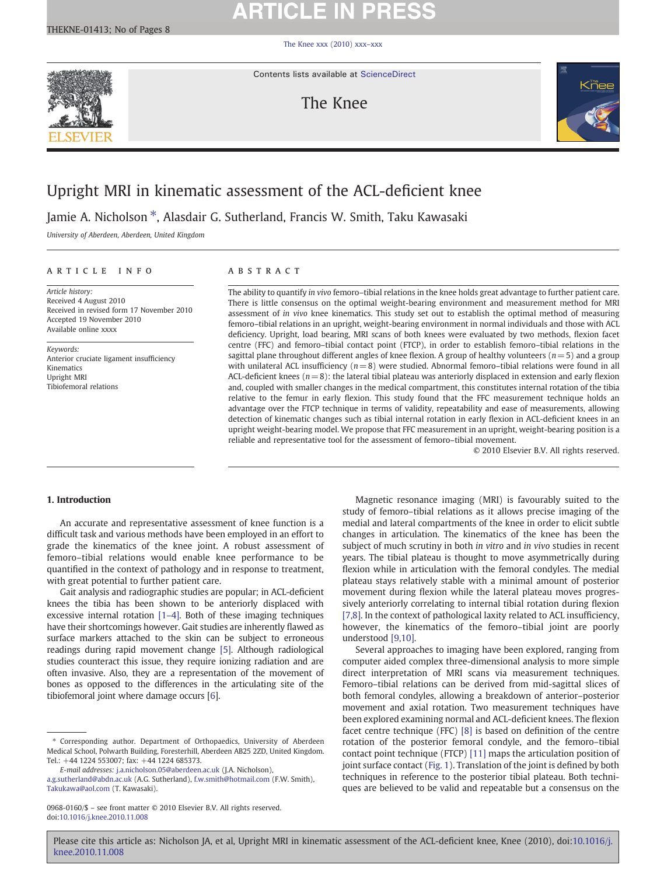# **ARTICLE IN PRESS**

[The Knee xxx \(2010\) xxx](http://dx.doi.org/10.1016/j.knee.2010.11.008)–xxx



Contents lists available at [ScienceDirect](http://www.sciencedirect.com/science/journal/09680160)

The Knee



# Upright MRI in kinematic assessment of the ACL-deficient knee

Jamie A. Nicholson<sup>\*</sup>, Alasdair G. Sutherland, Francis W. Smith, Taku Kawasaki

University of Aberdeen, Aberdeen, United Kingdom

# article info abstract

Article history: Received 4 August 2010 Received in revised form 17 November 2010 Accepted 19 November 2010 Available online xxxx

Keywords: Anterior cruciate ligament insufficiency Kinematics Upright MRI Tibiofemoral relations

The ability to quantify in vivo femoro–tibial relations in the knee holds great advantage to further patient care. There is little consensus on the optimal weight-bearing environment and measurement method for MRI assessment of in vivo knee kinematics. This study set out to establish the optimal method of measuring femoro–tibial relations in an upright, weight-bearing environment in normal individuals and those with ACL deficiency. Upright, load bearing, MRI scans of both knees were evaluated by two methods, flexion facet centre (FFC) and femoro–tibial contact point (FTCP), in order to establish femoro–tibial relations in the sagittal plane throughout different angles of knee flexion. A group of healthy volunteers ( $n=5$ ) and a group with unilateral ACL insufficiency  $(n=8)$  were studied. Abnormal femoro–tibial relations were found in all ACL-deficient knees ( $n=8$ ): the lateral tibial plateau was anteriorly displaced in extension and early flexion and, coupled with smaller changes in the medical compartment, this constitutes internal rotation of the tibia relative to the femur in early flexion. This study found that the FFC measurement technique holds an advantage over the FTCP technique in terms of validity, repeatability and ease of measurements, allowing detection of kinematic changes such as tibial internal rotation in early flexion in ACL-deficient knees in an upright weight-bearing model. We propose that FFC measurement in an upright, weight-bearing position is a reliable and representative tool for the assessment of femoro–tibial movement.

© 2010 Elsevier B.V. All rights reserved.

# 1. Introduction

An accurate and representative assessment of knee function is a difficult task and various methods have been employed in an effort to grade the kinematics of the knee joint. A robust assessment of femoro–tibial relations would enable knee performance to be quantified in the context of pathology and in response to treatment, with great potential to further patient care.

Gait analysis and radiographic studies are popular; in ACL-deficient knees the tibia has been shown to be anteriorly displaced with excessive internal rotation [1–[4\].](#page-7-0) Both of these imaging techniques have their shortcomings however. Gait studies are inherently flawed as surface markers attached to the skin can be subject to erroneous readings during rapid movement change [\[5\]](#page-7-0). Although radiological studies counteract this issue, they require ionizing radiation and are often invasive. Also, they are a representation of the movement of bones as opposed to the differences in the articulating site of the tibiofemoral joint where damage occurs [[6](#page-7-0)].

E-mail addresses: [j.a.nicholson.05@aberdeen.ac.uk](mailto:j.a.nicholson.05@aberdeen.ac.uk) (J.A. Nicholson),

Magnetic resonance imaging (MRI) is favourably suited to the study of femoro–tibial relations as it allows precise imaging of the medial and lateral compartments of the knee in order to elicit subtle changes in articulation. The kinematics of the knee has been the subject of much scrutiny in both in vitro and in vivo studies in recent years. The tibial plateau is thought to move asymmetrically during flexion while in articulation with the femoral condyles. The medial plateau stays relatively stable with a minimal amount of posterior movement during flexion while the lateral plateau moves progressively anteriorly correlating to internal tibial rotation during flexion [\[7,8\]](#page-7-0). In the context of pathological laxity related to ACL insufficiency, however, the kinematics of the femoro–tibial joint are poorly understood [\[9,10\].](#page-7-0)

Several approaches to imaging have been explored, ranging from computer aided complex three-dimensional analysis to more simple direct interpretation of MRI scans via measurement techniques. Femoro–tibial relations can be derived from mid-sagittal slices of both femoral condyles, allowing a breakdown of anterior–posterior movement and axial rotation. Two measurement techniques have been explored examining normal and ACL-deficient knees. The flexion facet centre technique (FFC) [\[8\]](#page-7-0) is based on definition of the centre rotation of the posterior femoral condyle, and the femoro–tibial contact point technique (FTCP) [\[11\]](#page-7-0) maps the articulation position of joint surface contact ([Fig. 1](#page-1-0)). Translation of the joint is defined by both techniques in reference to the posterior tibial plateau. Both techniques are believed to be valid and repeatable but a consensus on the

Corresponding author. Department of Orthopaedics, University of Aberdeen Medical School, Polwarth Building, Foresterhill, Aberdeen AB25 2ZD, United Kingdom. Tel.: +44 1224 553007; fax: +44 1224 685373.

[a.g.sutherland@abdn.ac.uk](mailto:a.g.sutherland@abdn.ac.uk) (A.G. Sutherland), [f.w.smith@hotmail.com](mailto:f.w.smith@hotmail.com) (F.W. Smith), [Takukawa@aol.com](mailto:Takukawa@aol.com) (T. Kawasaki).

<sup>0968-0160/\$</sup> – see front matter © 2010 Elsevier B.V. All rights reserved. doi:[10.1016/j.knee.2010.11.008](http://dx.doi.org/10.1016/j.knee.2010.11.008)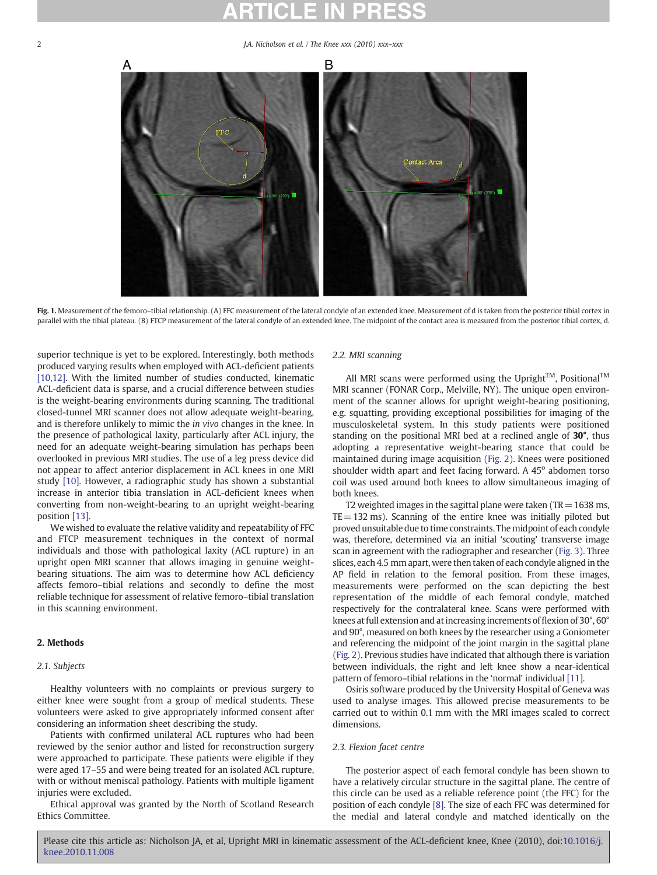<span id="page-1-0"></span>

Fig. 1. Measurement of the femoro-tibial relationship. (A) FFC measurement of the lateral condyle of an extended knee. Measurement of d is taken from the posterior tibial cortex in parallel with the tibial plateau. (B) FTCP measurement of the lateral condyle of an extended knee. The midpoint of the contact area is measured from the posterior tibial cortex, d.

superior technique is yet to be explored. Interestingly, both methods produced varying results when employed with ACL-deficient patients [\[10,12\]](#page-7-0). With the limited number of studies conducted, kinematic ACL-deficient data is sparse, and a crucial difference between studies is the weight-bearing environments during scanning. The traditional closed-tunnel MRI scanner does not allow adequate weight-bearing, and is therefore unlikely to mimic the in vivo changes in the knee. In the presence of pathological laxity, particularly after ACL injury, the need for an adequate weight-bearing simulation has perhaps been overlooked in previous MRI studies. The use of a leg press device did not appear to affect anterior displacement in ACL knees in one MRI study [\[10\].](#page-7-0) However, a radiographic study has shown a substantial increase in anterior tibia translation in ACL-deficient knees when converting from non-weight-bearing to an upright weight-bearing position [\[13\]](#page-7-0).

We wished to evaluate the relative validity and repeatability of FFC and FTCP measurement techniques in the context of normal individuals and those with pathological laxity (ACL rupture) in an upright open MRI scanner that allows imaging in genuine weightbearing situations. The aim was to determine how ACL deficiency affects femoro–tibial relations and secondly to define the most reliable technique for assessment of relative femoro–tibial translation in this scanning environment.

# 2. Methods

# 2.1. Subjects

Healthy volunteers with no complaints or previous surgery to either knee were sought from a group of medical students. These volunteers were asked to give appropriately informed consent after considering an information sheet describing the study.

Patients with confirmed unilateral ACL ruptures who had been reviewed by the senior author and listed for reconstruction surgery were approached to participate. These patients were eligible if they were aged 17–55 and were being treated for an isolated ACL rupture, with or without meniscal pathology. Patients with multiple ligament injuries were excluded.

Ethical approval was granted by the North of Scotland Research Ethics Committee.

# 2.2. MRI scanning

All MRI scans were performed using the Upright<sup>TM</sup>, Positional<sup>TM</sup> MRI scanner (FONAR Corp., Melville, NY). The unique open environment of the scanner allows for upright weight-bearing positioning, e.g. squatting, providing exceptional possibilities for imaging of the musculoskeletal system. In this study patients were positioned standing on the positional MRI bed at a reclined angle of 30°, thus adopting a representative weight-bearing stance that could be maintained during image acquisition [\(Fig. 2\)](#page-2-0). Knees were positioned shoulder width apart and feet facing forward. A 45° abdomen torso coil was used around both knees to allow simultaneous imaging of both knees.

T2 weighted images in the sagittal plane were taken ( $TR=1638$  ms,  $TE=132$  ms). Scanning of the entire knee was initially piloted but proved unsuitable due to time constraints. The midpoint of each condyle was, therefore, determined via an initial 'scouting' transverse image scan in agreement with the radiographer and researcher ([Fig. 3](#page-2-0)). Three slices, each 4.5 mm apart, were then taken of each condyle aligned in the AP field in relation to the femoral position. From these images, measurements were performed on the scan depicting the best representation of the middle of each femoral condyle, matched respectively for the contralateral knee. Scans were performed with knees at full extension and at increasing increments of flexion of 30°, 60° and 90°, measured on both knees by the researcher using a Goniometer and referencing the midpoint of the joint margin in the sagittal plane [\(Fig. 2\)](#page-2-0). Previous studies have indicated that although there is variation between individuals, the right and left knee show a near-identical pattern of femoro–tibial relations in the 'normal' individual [\[11\]](#page-7-0).

Osiris software produced by the University Hospital of Geneva was used to analyse images. This allowed precise measurements to be carried out to within 0.1 mm with the MRI images scaled to correct dimensions.

# 2.3. Flexion facet centre

The posterior aspect of each femoral condyle has been shown to have a relatively circular structure in the sagittal plane. The centre of this circle can be used as a reliable reference point (the FFC) for the position of each condyle [\[8\].](#page-7-0) The size of each FFC was determined for the medial and lateral condyle and matched identically on the

Please cite this article as: Nicholson JA, et al, Upright MRI in kinematic assessment of the ACL-deficient knee, Knee (2010), doi:[10.1016/j.](http://dx.doi.org/10.1016/j.knee.2010.11.008) [knee.2010.11.008](http://dx.doi.org/10.1016/j.knee.2010.11.008)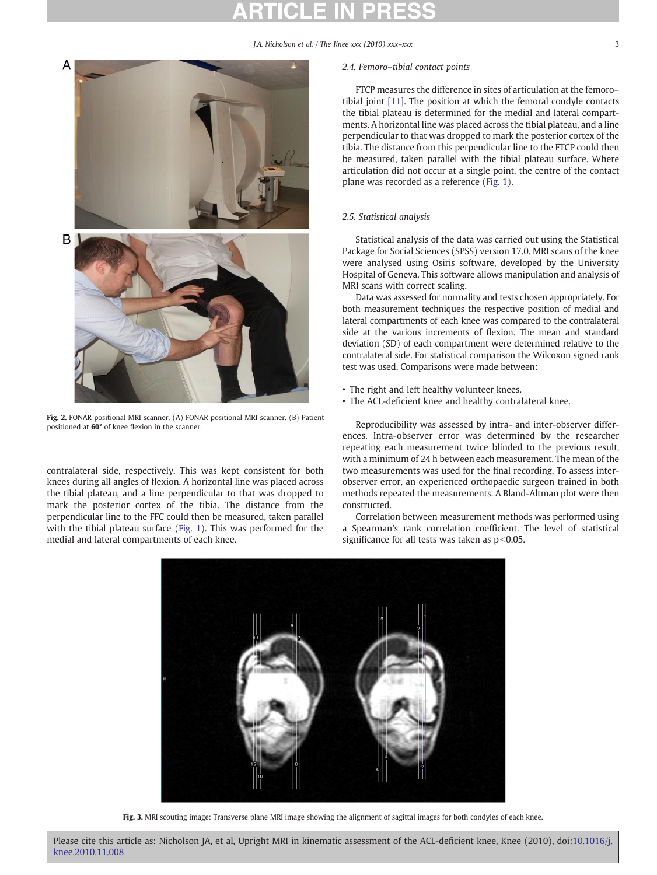<span id="page-2-0"></span>

Fig. 2. FONAR positional MRI scanner. (A) FONAR positional MRI scanner. (B) Patient positioned at 60° of knee flexion in the scanner.

contralateral side, respectively. This was kept consistent for both knees during all angles of flexion. A horizontal line was placed across the tibial plateau, and a line perpendicular to that was dropped to mark the posterior cortex of the tibia. The distance from the perpendicular line to the FFC could then be measured, taken parallel with the tibial plateau surface [\(Fig. 1](#page-1-0)). This was performed for the medial and lateral compartments of each knee.

# 2.4. Femoro–tibial contact points

FTCP measures the difference in sites of articulation at the femoro– tibial joint [\[11\]](#page-7-0). The position at which the femoral condyle contacts the tibial plateau is determined for the medial and lateral compartments. A horizontal line was placed across the tibial plateau, and a line perpendicular to that was dropped to mark the posterior cortex of the tibia. The distance from this perpendicular line to the FTCP could then be measured, taken parallel with the tibial plateau surface. Where articulation did not occur at a single point, the centre of the contact plane was recorded as a reference ([Fig. 1](#page-1-0)).

# 2.5. Statistical analysis

Statistical analysis of the data was carried out using the Statistical Package for Social Sciences (SPSS) version 17.0. MRI scans of the knee were analysed using Osiris software, developed by the University Hospital of Geneva. This software allows manipulation and analysis of MRI scans with correct scaling.

Data was assessed for normality and tests chosen appropriately. For both measurement techniques the respective position of medial and lateral compartments of each knee was compared to the contralateral side at the various increments of flexion. The mean and standard deviation (SD) of each compartment were determined relative to the contralateral side. For statistical comparison the Wilcoxon signed rank test was used. Comparisons were made between:

- The right and left healthy volunteer knees.
- The ACL-deficient knee and healthy contralateral knee.

Reproducibility was assessed by intra- and inter-observer differences. Intra-observer error was determined by the researcher repeating each measurement twice blinded to the previous result, with a minimum of 24 h between each measurement. The mean of the two measurements was used for the final recording. To assess interobserver error, an experienced orthopaedic surgeon trained in both methods repeated the measurements. A Bland-Altman plot were then constructed.

Correlation between measurement methods was performed using a Spearman's rank correlation coefficient. The level of statistical significance for all tests was taken as  $p<0.05$ .



Fig. 3. MRI scouting image: Transverse plane MRI image showing the alignment of sagittal images for both condyles of each knee.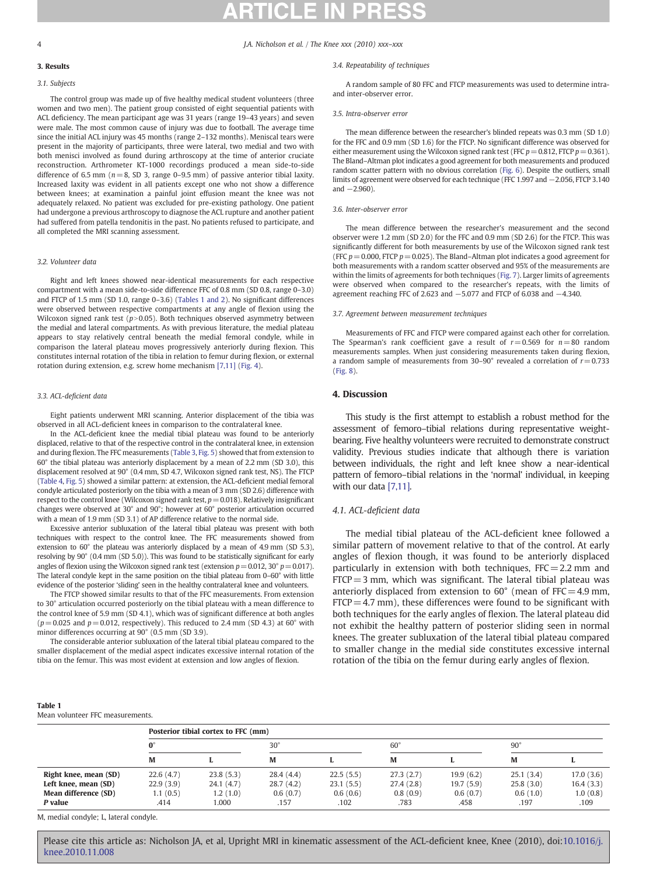# 3. Results

# 3.1. Subjects

The control group was made up of five healthy medical student volunteers (three women and two men). The patient group consisted of eight sequential patients with ACL deficiency. The mean participant age was 31 years (range 19–43 years) and seven were male. The most common cause of injury was due to football. The average time since the initial ACL injury was 45 months (range 2–132 months). Meniscal tears were present in the majority of participants, three were lateral, two medial and two with both menisci involved as found during arthroscopy at the time of anterior cruciate reconstruction. Arthrometer KT-1000 recordings produced a mean side-to-side difference of 6.5 mm ( $n=8$ , SD 3, range 0-9.5 mm) of passive anterior tibial laxity. Increased laxity was evident in all patients except one who not show a difference between knees; at examination a painful joint effusion meant the knee was not adequately relaxed. No patient was excluded for pre-existing pathology. One patient had undergone a previous arthroscopy to diagnose the ACL rupture and another patient had suffered from patella tendonitis in the past. No patients refused to participate, and all completed the MRI scanning assessment.

# 3.2. Volunteer data

Right and left knees showed near-identical measurements for each respective compartment with a mean side-to-side difference FFC of 0.8 mm (SD 0.8, range 0–3.0) and FTCP of 1.5 mm (SD 1.0, range 0–3.6) (Tables 1 and 2). No significant differences were observed between respective compartments at any angle of flexion using the Wilcoxon signed rank test ( $p > 0.05$ ). Both techniques observed asymmetry between the medial and lateral compartments. As with previous literature, the medial plateau appears to stay relatively central beneath the medial femoral condyle, while in comparison the lateral plateau moves progressively anteriorly during flexion. This constitutes internal rotation of the tibia in relation to femur during flexion, or external rotation during extension, e.g. screw home mechanism [\[7,11\]](#page-7-0) ([Fig. 4](#page-4-0)).

# 3.3. ACL-deficient data

Eight patients underwent MRI scanning. Anterior displacement of the tibia was observed in all ACL-deficient knees in comparison to the contralateral knee.

In the ACL-deficient knee the medial tibial plateau was found to be anteriorly displaced, relative to that of the respective control in the contralateral knee, in extension and during flexion. The FFC measurements [\(Table 3](#page-5-0), [Fig. 5\)](#page-5-0) showed that from extension to 60° the tibial plateau was anteriorly displacement by a mean of 2.2 mm (SD 3.0), this displacement resolved at 90° (0.4 mm, SD 4.7, Wilcoxon signed rank test, NS). The FTCP ([Table 4,](#page-6-0) [Fig. 5\)](#page-5-0) showed a similar pattern: at extension, the ACL-deficient medial femoral condyle articulated posteriorly on the tibia with a mean of 3 mm (SD 2.6) difference with respect to the control knee (Wilcoxon signed rank test,  $p=0.018$ ). Relatively insignificant changes were observed at 30° and 90°; however at 60° posterior articulation occurred with a mean of 1.9 mm (SD 3.1) of AP difference relative to the normal side.

Excessive anterior subluxation of the lateral tibial plateau was present with both techniques with respect to the control knee. The FFC measurements showed from extension to 60° the plateau was anteriorly displaced by a mean of 4.9 mm (SD 5.3), resolving by 90° (0.4 mm (SD 5.0)). This was found to be statistically significant for early angles of flexion using the Wilcoxon signed rank test (extension  $p=0.012$ , 30°  $p=0.017$ ). The lateral condyle kept in the same position on the tibial plateau from 0–60° with little evidence of the posterior 'sliding' seen in the healthy contralateral knee and volunteers.

The FTCP showed similar results to that of the FFC measurements. From extension to 30° articulation occurred posteriorly on the tibial plateau with a mean difference to the control knee of 5.9 mm (SD 4.1), which was of significant difference at both angles  $(p= 0.025$  and  $p= 0.012$ , respectively). This reduced to 2.4 mm (SD 4.3) at 60° with minor differences occurring at 90° (0.5 mm (SD 3.9).

The considerable anterior subluxation of the lateral tibial plateau compared to the smaller displacement of the medial aspect indicates excessive internal rotation of the tibia on the femur. This was most evident at extension and low angles of flexion.

### 3.4. Repeatability of techniques

A random sample of 80 FFC and FTCP measurements was used to determine intraand inter-observer error.

### 3.5. Intra-observer error

The mean difference between the researcher's blinded repeats was 0.3 mm (SD 1.0) for the FFC and 0.9 mm (SD 1.6) for the FTCP. No significant difference was observed for either measurement using the Wilcoxon signed rank test (FFC  $p = 0.812$ , FTCP  $p = 0.361$ ). The Bland–Altman plot indicates a good agreement for both measurements and produced random scatter pattern with no obvious correlation ([Fig. 6](#page-6-0)). Despite the outliers, small limits of agreement were observed for each technique (FFC 1.997 and −2.056, FTCP 3.140  $and -2.960$ ).

### 3.6. Inter-observer error

The mean difference between the researcher's measurement and the second observer were 1.2 mm (SD 2.0) for the FFC and 0.9 mm (SD 2.6) for the FTCP. This was significantly different for both measurements by use of the Wilcoxon signed rank test (FFC  $p = 0.000$ , FTCP  $p = 0.025$ ). The Bland–Altman plot indicates a good agreement for both measurements with a random scatter observed and 95% of the measurements are within the limits of agreements for both techniques ([Fig. 7\)](#page-6-0). Larger limits of agreements were observed when compared to the researcher's repeats, with the limits of agreement reaching FFC of 2.623 and −5.077 and FTCP of 6.038 and −4.340.

### 3.7. Agreement between measurement techniques

Measurements of FFC and FTCP were compared against each other for correlation. The Spearman's rank coefficient gave a result of  $r = 0.569$  for  $n = 80$  random measurements samples. When just considering measurements taken during flexion, a random sample of measurements from 30–90 $^{\circ}$  revealed a correlation of  $r = 0.733$ ([Fig. 8](#page-7-0)).

# 4. Discussion

This study is the first attempt to establish a robust method for the assessment of femoro–tibial relations during representative weightbearing. Five healthy volunteers were recruited to demonstrate construct validity. Previous studies indicate that although there is variation between individuals, the right and left knee show a near-identical pattern of femoro–tibial relations in the 'normal' individual, in keeping with our data [\[7,11\].](#page-7-0)

### 4.1. ACL-deficient data

The medial tibial plateau of the ACL-deficient knee followed a similar pattern of movement relative to that of the control. At early angles of flexion though, it was found to be anteriorly displaced particularly in extension with both techniques,  $FFC = 2.2$  mm and  $FTCP = 3$  mm, which was significant. The lateral tibial plateau was anteriorly displaced from extension to  $60^{\circ}$  (mean of FFC = 4.9 mm,  $FTCP = 4.7$  mm), these differences were found to be significant with both techniques for the early angles of flexion. The lateral plateau did not exhibit the healthy pattern of posterior sliding seen in normal knees. The greater subluxation of the lateral tibial plateau compared to smaller change in the medial side constitutes excessive internal rotation of the tibia on the femur during early angles of flexion.

### Table 1

Mean volunteer FFC measurements.

|                       | Posterior tibial cortex to FFC (mm) |           |            |           |            |           |              |           |  |
|-----------------------|-------------------------------------|-----------|------------|-----------|------------|-----------|--------------|-----------|--|
|                       | $\mathbf{0}^{\circ}$                |           | $30^\circ$ |           | $60^\circ$ |           | $90^{\circ}$ |           |  |
|                       | M                                   |           | M          |           | M          |           | M            |           |  |
| Right knee, mean (SD) | 22.6(4.7)                           | 23.8(5.3) | 28.4(4.4)  | 22.5(5.5) | 27.3(2.7)  | 19.9(6.2) | 25.1(3.4)    | 17.0(3.6) |  |
| Left knee, mean (SD)  | 22.9(3.9)                           | 24.1(4.7) | 28.7(4.2)  | 23.1(5.5) | 27.4(2.8)  | 19.7(5.9) | 25.8(3.0)    | 16.4(3.3) |  |
| Mean difference (SD)  | 1.1(0.5)                            | 1.2(1.0)  | 0.6(0.7)   | 0.6(0.6)  | 0.8(0.9)   | 0.6(0.7)  | 0.6(1.0)     | 1.0(0.8)  |  |
| P value               | .414                                | 1.000     | .157       | .102      | .783       | .458      | .197         | .109      |  |

M, medial condyle; L, lateral condyle.

Please cite this article as: Nicholson JA, et al, Upright MRI in kinematic assessment of the ACL-deficient knee, Knee (2010), doi:[10.1016/j.](http://dx.doi.org/10.1016/j.knee.2010.11.008) [knee.2010.11.008](http://dx.doi.org/10.1016/j.knee.2010.11.008)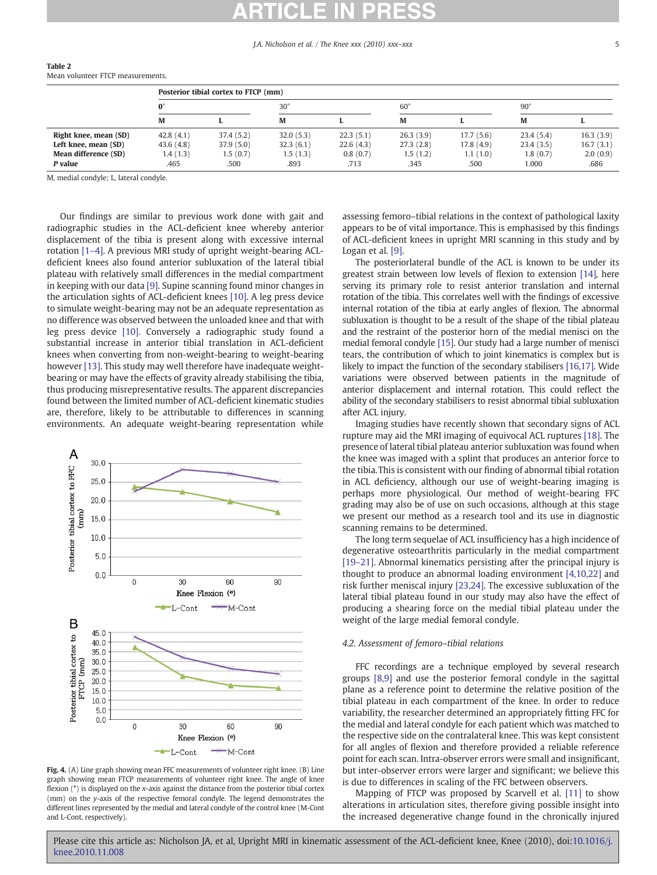### <span id="page-4-0"></span>Table 2 Mean volunteer FTCP measurements.

|                       | Posterior tibial cortex to FTCP (mm) |           |            |           |            |            |            |           |  |
|-----------------------|--------------------------------------|-----------|------------|-----------|------------|------------|------------|-----------|--|
|                       | $\mathbf{0}^{\circ}$                 |           | $30^\circ$ |           | $60^\circ$ |            | $90^\circ$ |           |  |
|                       | M                                    |           | M          |           | M          |            | M          |           |  |
| Right knee, mean (SD) | 42.8(4.1)                            | 37.4(5.2) | 32.0(5.3)  | 22.3(5.1) | 26.3(3.9)  | 17.7 (5.6) | 23.4(5.4)  | 16.3(3.9) |  |
| Left knee, mean (SD)  | 43.6(4.8)                            | 37.9(5.0) | 32.3(6.1)  | 22.6(4.3) | 27.3(2.8)  | 17.8 (4.9) | 23.4(3.5)  | 16.7(3.1) |  |
| Mean difference (SD)  | 1.4(1.3)                             | 1.5(0.7)  | 1.5(1.3)   | 0.8(0.7)  | 1.5(1.2)   | 1.1(1.0)   | 1.8(0.7)   | 2.0(0.9)  |  |
| P value               | .465                                 | .500      | .893       | .713      | .345       | .500       | 1.000      | .686      |  |

M, medial condyle; L, lateral condyle.

Our findings are similar to previous work done with gait and radiographic studies in the ACL-deficient knee whereby anterior displacement of the tibia is present along with excessive internal rotation [\[1](#page-7-0)–4]. A previous MRI study of upright weight-bearing ACLdeficient knees also found anterior subluxation of the lateral tibial plateau with relatively small differences in the medial compartment in keeping with our data [\[9\]](#page-7-0). Supine scanning found minor changes in the articulation sights of ACL-deficient knees [\[10\].](#page-7-0) A leg press device to simulate weight-bearing may not be an adequate representation as no difference was observed between the unloaded knee and that with leg press device [\[10\].](#page-7-0) Conversely a radiographic study found a substantial increase in anterior tibial translation in ACL-deficient knees when converting from non-weight-bearing to weight-bearing however [\[13\].](#page-7-0) This study may well therefore have inadequate weightbearing or may have the effects of gravity already stabilising the tibia, thus producing misrepresentative results. The apparent discrepancies found between the limited number of ACL-deficient kinematic studies are, therefore, likely to be attributable to differences in scanning environments. An adequate weight-bearing representation while



Fig. 4. (A) Line graph showing mean FFC measurements of volunteer right knee. (B) Line graph showing mean FTCP measurements of volunteer right knee. The angle of knee flexion (°) is displayed on the x-axis against the distance from the posterior tibial cortex (mm) on the y-axis of the respective femoral condyle. The legend demonstrates the different lines represented by the medial and lateral condyle of the control knee (M-Cont and L-Cont, respectively).

assessing femoro–tibial relations in the context of pathological laxity appears to be of vital importance. This is emphasised by this findings of ACL-deficient knees in upright MRI scanning in this study and by Logan et al. [\[9\].](#page-7-0)

The posteriorlateral bundle of the ACL is known to be under its greatest strain between low levels of flexion to extension [\[14\],](#page-7-0) here serving its primary role to resist anterior translation and internal rotation of the tibia. This correlates well with the findings of excessive internal rotation of the tibia at early angles of flexion. The abnormal subluxation is thought to be a result of the shape of the tibial plateau and the restraint of the posterior horn of the medial menisci on the medial femoral condyle [\[15\]](#page-7-0). Our study had a large number of menisci tears, the contribution of which to joint kinematics is complex but is likely to impact the function of the secondary stabilisers [\[16,17\]](#page-7-0). Wide variations were observed between patients in the magnitude of anterior displacement and internal rotation. This could reflect the ability of the secondary stabilisers to resist abnormal tibial subluxation after ACL injury.

Imaging studies have recently shown that secondary signs of ACL rupture may aid the MRI imaging of equivocal ACL ruptures [\[18\]](http://dx.doi.org/doi:10.1016/j.knee.2010.06.001). The presence of lateral tibial plateau anterior subluxation was found when the knee was imaged with a splint that produces an anterior force to the tibia. This is consistent with our finding of abnormal tibial rotation in ACL deficiency, although our use of weight-bearing imaging is perhaps more physiological. Our method of weight-bearing FFC grading may also be of use on such occasions, although at this stage we present our method as a research tool and its use in diagnostic scanning remains to be determined.

The long term sequelae of ACL insufficiency has a high incidence of degenerative osteoarthritis particularly in the medial compartment [19–[21\].](#page-7-0) Abnormal kinematics persisting after the principal injury is thought to produce an abnormal loading environment [\[4,10,22\]](#page-7-0) and risk further meniscal injury [\[23,24\].](#page-7-0) The excessive subluxation of the lateral tibial plateau found in our study may also have the effect of producing a shearing force on the medial tibial plateau under the weight of the large medial femoral condyle.

# 4.2. Assessment of femoro–tibial relations

FFC recordings are a technique employed by several research groups [\[8,9\]](#page-7-0) and use the posterior femoral condyle in the sagittal plane as a reference point to determine the relative position of the tibial plateau in each compartment of the knee. In order to reduce variability, the researcher determined an appropriately fitting FFC for the medial and lateral condyle for each patient which was matched to the respective side on the contralateral knee. This was kept consistent for all angles of flexion and therefore provided a reliable reference point for each scan. Intra-observer errors were small and insignificant, but inter-observer errors were larger and significant; we believe this is due to differences in scaling of the FFC between observers.

Mapping of FTCP was proposed by Scarvell et al. [\[11\]](#page-7-0) to show alterations in articulation sites, therefore giving possible insight into the increased degenerative change found in the chronically injured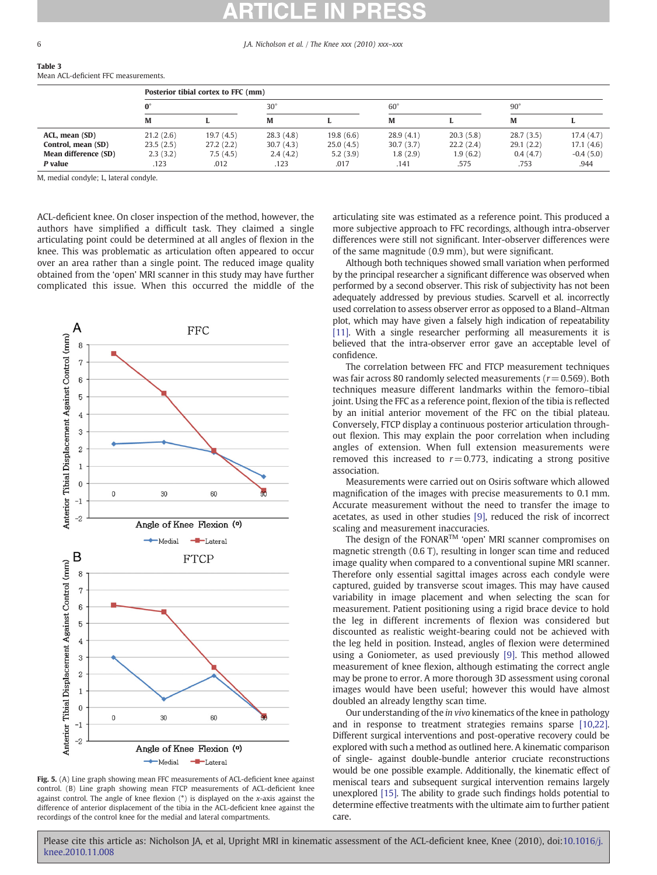### <span id="page-5-0"></span>Table 3 Mean ACL-deficient FFC measurements.

|                      | Posterior tibial cortex to FFC (mm) |           |            |           |            |           |              |             |  |
|----------------------|-------------------------------------|-----------|------------|-----------|------------|-----------|--------------|-------------|--|
|                      | $0^{\circ}$                         |           | $30^\circ$ |           | $60^\circ$ |           | $90^{\circ}$ |             |  |
|                      | M                                   |           | M          |           | M          |           | M            |             |  |
| ACL, mean (SD)       | 21.2(2.6)                           | 19.7(4.5) | 28.3(4.8)  | 19.8(6.6) | 28.9(4.1)  | 20.3(5.8) | 28.7(3.5)    | 17.4(4.7)   |  |
| Control, mean (SD)   | 23.5(2.5)                           | 27.2(2.2) | 30.7(4.3)  | 25.0(4.5) | 30.7(3.7)  | 22.2(2.4) | 29.1(2.2)    | 17.1(4.6)   |  |
| Mean difference (SD) | 2.3(3.2)                            | 7.5(4.5)  | 2.4(4.2)   | 5.2(3.9)  | 1.8(2.9)   | 1.9(6.2)  | 0.4(4.7)     | $-0.4(5.0)$ |  |
| P value              | .123                                | .012      | .123       | .017      | .141       | .575      | .753         | .944        |  |

M, medial condyle; L, lateral condyle.

ACL-deficient knee. On closer inspection of the method, however, the authors have simplified a difficult task. They claimed a single articulating point could be determined at all angles of flexion in the knee. This was problematic as articulation often appeared to occur over an area rather than a single point. The reduced image quality obtained from the 'open' MRI scanner in this study may have further complicated this issue. When this occurred the middle of the



Fig. 5. (A) Line graph showing mean FFC measurements of ACL-deficient knee against control. (B) Line graph showing mean FTCP measurements of ACL-deficient knee against control. The angle of knee flexion (°) is displayed on the x-axis against the difference of anterior displacement of the tibia in the ACL-deficient knee against the recordings of the control knee for the medial and lateral compartments.

articulating site was estimated as a reference point. This produced a more subjective approach to FFC recordings, although intra-observer differences were still not significant. Inter-observer differences were of the same magnitude (0.9 mm), but were significant.

Although both techniques showed small variation when performed by the principal researcher a significant difference was observed when performed by a second observer. This risk of subjectivity has not been adequately addressed by previous studies. Scarvell et al. incorrectly used correlation to assess observer error as opposed to a Bland–Altman plot, which may have given a falsely high indication of repeatability [\[11\]](#page-7-0). With a single researcher performing all measurements it is believed that the intra-observer error gave an acceptable level of confidence.

The correlation between FFC and FTCP measurement techniques was fair across 80 randomly selected measurements ( $r = 0.569$ ). Both techniques measure different landmarks within the femoro–tibial joint. Using the FFC as a reference point, flexion of the tibia is reflected by an initial anterior movement of the FFC on the tibial plateau. Conversely, FTCP display a continuous posterior articulation throughout flexion. This may explain the poor correlation when including angles of extension. When full extension measurements were removed this increased to  $r = 0.773$ , indicating a strong positive association.

Measurements were carried out on Osiris software which allowed magnification of the images with precise measurements to 0.1 mm. Accurate measurement without the need to transfer the image to acetates, as used in other studies [\[9\]](#page-7-0), reduced the risk of incorrect scaling and measurement inaccuracies.

The design of the FONARTM 'open' MRI scanner compromises on magnetic strength (0.6 T), resulting in longer scan time and reduced image quality when compared to a conventional supine MRI scanner. Therefore only essential sagittal images across each condyle were captured, guided by transverse scout images. This may have caused variability in image placement and when selecting the scan for measurement. Patient positioning using a rigid brace device to hold the leg in different increments of flexion was considered but discounted as realistic weight-bearing could not be achieved with the leg held in position. Instead, angles of flexion were determined using a Goniometer, as used previously [\[9\].](#page-7-0) This method allowed measurement of knee flexion, although estimating the correct angle may be prone to error. A more thorough 3D assessment using coronal images would have been useful; however this would have almost doubled an already lengthy scan time.

Our understanding of the in vivo kinematics of the knee in pathology and in response to treatment strategies remains sparse [\[10,22\].](#page-7-0) Different surgical interventions and post-operative recovery could be explored with such a method as outlined here. A kinematic comparison of single- against double-bundle anterior cruciate reconstructions would be one possible example. Additionally, the kinematic effect of meniscal tears and subsequent surgical intervention remains largely unexplored [\[15\].](#page-7-0) The ability to grade such findings holds potential to determine effective treatments with the ultimate aim to further patient care.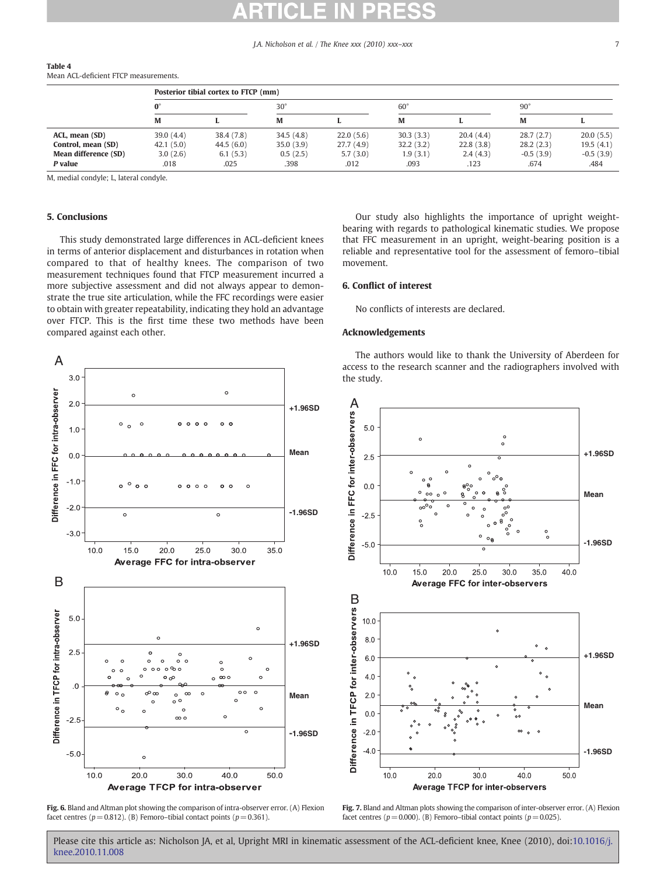### <span id="page-6-0"></span>Table 4 Mean ACL-deficient FTCP measurements.

|                      | Posterior tibial cortex to FTCP (mm) |            |            |           |            |           |              |             |  |
|----------------------|--------------------------------------|------------|------------|-----------|------------|-----------|--------------|-------------|--|
|                      | $0^{\circ}$                          |            | $30^\circ$ |           | $60^\circ$ |           | $90^{\circ}$ |             |  |
|                      | M                                    |            | M          |           | M          |           | M            |             |  |
| ACL, mean (SD)       | 39.0(4.4)                            | 38.4 (7.8) | 34.5(4.8)  | 22.0(5.6) | 30.3(3.3)  | 20.4(4.4) | 28.7(2.7)    | 20.0(5.5)   |  |
| Control, mean (SD)   | 42.1(5.0)                            | 44.5(6.0)  | 35.0(3.9)  | 27.7(4.9) | 32.2(3.2)  | 22.8(3.8) | 28.2(2.3)    | 19.5(4.1)   |  |
| Mean difference (SD) | 3.0(2.6)                             | 6.1(5.3)   | 0.5(2.5)   | 5.7(3.0)  | 1.9(3.1)   | 2.4(4.3)  | $-0.5(3.9)$  | $-0.5(3.9)$ |  |
| P value              | .018                                 | .025       | .398       | .012      | .093       | .123      | .674         | .484        |  |

M, medial condyle; L, lateral condyle.

# 5. Conclusions

This study demonstrated large differences in ACL-deficient knees in terms of anterior displacement and disturbances in rotation when compared to that of healthy knees. The comparison of two measurement techniques found that FTCP measurement incurred a more subjective assessment and did not always appear to demonstrate the true site articulation, while the FFC recordings were easier to obtain with greater repeatability, indicating they hold an advantage over FTCP. This is the first time these two methods have been compared against each other.

A  $3.0$ Difference in FFC for intra-observer  $\circ$  $\circ$  $2<sub>c</sub>$ **+1.96SD**  $\circ$  $\circ$  $\circ$  $\circ$  $\circ$  $\circ$  $1.0$ **Mean**  $0.0$  $-1.0$  $\circ$  $-2.0$ **-1.96SD**  $\circ$  $\circ$  $-3.0$  $10.0$  $15.0$  $20.0$  $25.0$  $30.0$ 35.0 Average FFC for intra-observer B Difference in TFCP for intra-observer  $5.0$  $\circ$  $\circ$ **+1.96SD**  $2.5$  $\circ$  $\circ$  $\circ$  $\circ$   $\circ$  $\sim$  $\circ$  $\circ$  $\circ$  $090$  $\circ$  $\circ$  $\Omega$  $\circ$  $\circ$   $\infty$  $\circ$  $\overline{\mathbf{0}}$  $\sigma$  $\circ$  $\circ$  $\circ$ **Mean**  $\circ$  $\circ$  $\circ$  $\overline{c}$  $\circ$  $\infty$  $\circ$  $-2.5$  $\overline{\circ}$ **-1.96SD**  $-5.0$  $\epsilon$  $10.0$  $20.0$ 30.0 40.0 50.0 Average TFCP for intra-observer

Fig. 6. Bland and Altman plot showing the comparison of intra-observer error. (A) Flexion facet centres ( $p=0.812$ ). (B) Femoro–tibial contact points ( $p=0.361$ ).

Our study also highlights the importance of upright weightbearing with regards to pathological kinematic studies. We propose that FFC measurement in an upright, weight-bearing position is a reliable and representative tool for the assessment of femoro–tibial movement.

# 6. Conflict of interest

No conflicts of interests are declared.

# Acknowledgements

The authors would like to thank the University of Aberdeen for access to the research scanner and the radiographers involved with the study.



Fig. 7. Bland and Altman plots showing the comparison of inter-observer error. (A) Flexion facet centres ( $p=0.000$ ). (B) Femoro–tibial contact points ( $p=0.025$ ).

Please cite this article as: Nicholson JA, et al, Upright MRI in kinematic assessment of the ACL-deficient knee, Knee (2010), doi[:10.1016/j.](http://dx.doi.org/10.1016/j.knee.2010.11.008) [knee.2010.11.008](http://dx.doi.org/10.1016/j.knee.2010.11.008)